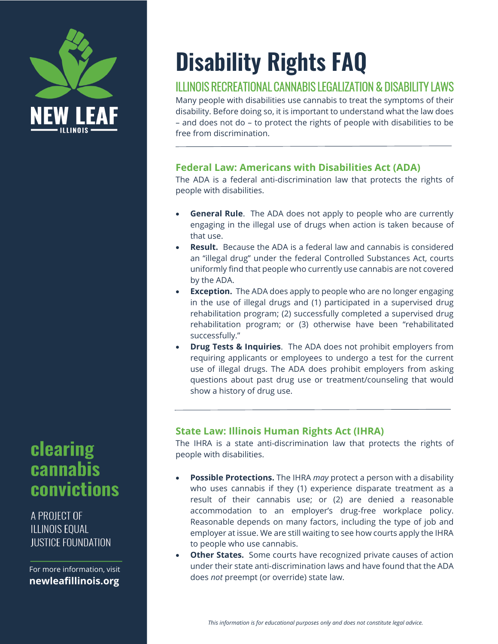

## clearing cannabis convictions

A PROJECT OF **ILLINOIS EQUAL IUSTICF FOUNDATION** 

For more information, visit **newleafillinois.org** 

# **Disability Rights FAQ**

### ILLINOIS RECREATIONAL CANNABIS LEGALIZATION & DISABILITY LAWS

Many people with disabilities use cannabis to treat the symptoms of their disability. Before doing so, it is important to understand what the law does – and does not do – to protect the rights of people with disabilities to be free from discrimination.

#### **Federal Law: Americans with Disabilities Act (ADA)**

The ADA is a federal anti-discrimination law that protects the rights of people with disabilities.

- **General Rule**. The ADA does not apply to people who are currently engaging in the illegal use of drugs when action is taken because of that use.
- **Result.** Because the ADA is a federal law and cannabis is considered an "illegal drug" under the federal Controlled Substances Act, courts uniformly find that people who currently use cannabis are not covered by the ADA.
- **Exception.** The ADA does apply to people who are no longer engaging in the use of illegal drugs and (1) participated in a supervised drug rehabilitation program; (2) successfully completed a supervised drug rehabilitation program; or (3) otherwise have been "rehabilitated successfully."
- **Drug Tests & Inquiries**. The ADA does not prohibit employers from requiring applicants or employees to undergo a test for the current use of illegal drugs. The ADA does prohibit employers from asking questions about past drug use or treatment/counseling that would show a history of drug use.

#### **State Law: Illinois Human Rights Act (IHRA)**

The IHRA is a state anti-discrimination law that protects the rights of people with disabilities.

- **Possible Protections.** The IHRA *may* protect a person with a disability who uses cannabis if they (1) experience disparate treatment as a result of their cannabis use; or (2) are denied a reasonable accommodation to an employer's drug-free workplace policy. Reasonable depends on many factors, including the type of job and employer at issue. We are still waiting to see how courts apply the IHRA to people who use cannabis.
- **Other States.** Some courts have recognized private causes of action under their state anti-discrimination laws and have found that the ADA does *not* preempt (or override) state law.